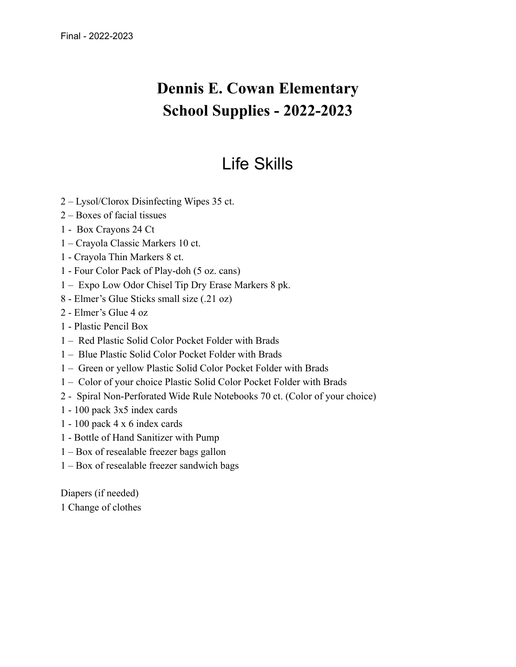### **Dennis E. Cowan Elementary School Supplies - 2022-2023**

### Life Skills

- 2 Lysol/Clorox Disinfecting Wipes 35 ct.
- 2 Boxes of facial tissues
- 1 Box Crayons 24 Ct
- 1 Crayola Classic Markers 10 ct.
- 1 Crayola Thin Markers 8 ct.
- 1 Four Color Pack of Play-doh (5 oz. cans)
- 1 Expo Low Odor Chisel Tip Dry Erase Markers 8 pk.
- 8 Elmer's Glue Sticks small size (.21 oz)
- 2 Elmer's Glue 4 oz
- 1 Plastic Pencil Box
- 1 Red Plastic Solid Color Pocket Folder with Brads
- 1 Blue Plastic Solid Color Pocket Folder with Brads
- 1 Green or yellow Plastic Solid Color Pocket Folder with Brads
- 1 Color of your choice Plastic Solid Color Pocket Folder with Brads
- 2 Spiral Non-Perforated Wide Rule Notebooks 70 ct. (Color of your choice)
- 1 100 pack 3x5 index cards
- 1 100 pack 4 x 6 index cards
- 1 Bottle of Hand Sanitizer with Pump
- 1 Box of resealable freezer bags gallon
- 1 Box of resealable freezer sandwich bags

Diapers (if needed) 1 Change of clothes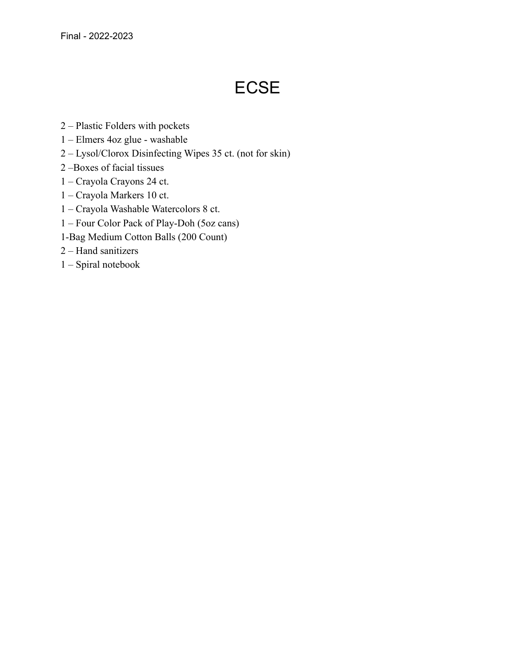# **ECSE**

- 2 Plastic Folders with pockets
- 1 Elmers 4oz glue washable
- 2 Lysol/Clorox Disinfecting Wipes 35 ct. (not for skin)
- 2 –Boxes of facial tissues
- 1 Crayola Crayons 24 ct.
- 1 Crayola Markers 10 ct.
- 1 Crayola Washable Watercolors 8 ct.
- 1 Four Color Pack of Play-Doh (5oz cans)
- 1-Bag Medium Cotton Balls (200 Count)
- 2 Hand sanitizers
- 1 Spiral notebook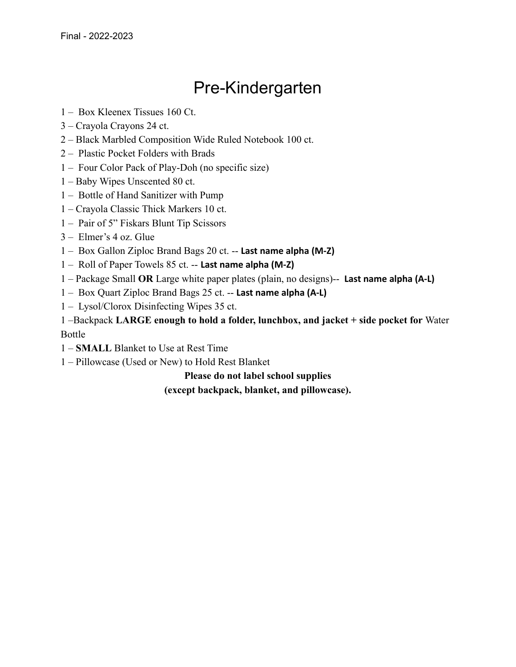## Pre-Kindergarten

- 1 Box Kleenex Tissues 160 Ct.
- 3 Crayola Crayons 24 ct.
- 2 Black Marbled Composition Wide Ruled Notebook 100 ct.
- 2 Plastic Pocket Folders with Brads
- 1 Four Color Pack of Play-Doh (no specific size)
- 1 Baby Wipes Unscented 80 ct.
- 1 Bottle of Hand Sanitizer with Pump
- 1 Crayola Classic Thick Markers 10 ct.
- 1 Pair of 5" Fiskars Blunt Tip Scissors
- 3 Elmer's 4 oz. Glue
- 1 Box Gallon Ziploc Brand Bags 20 ct. -- **Last name alpha (M-Z)**
- 1 Roll of Paper Towels 85 ct. -- **Last name alpha (M-Z)**
- 1 Package Small **OR** Large white paper plates (plain, no designs)-- **Last name alpha (A-L)**
- 1 Box Quart Ziploc Brand Bags 25 ct. -- **Last name alpha (A-L)**
- 1 Lysol/Clorox Disinfecting Wipes 35 ct.

1 –Backpack **LARGE enough to hold a folder, lunchbox, and jacket + side pocket for** Water Bottle

- 1 **SMALL** Blanket to Use at Rest Time
- 1 Pillowcase (Used or New) to Hold Rest Blanket

**Please do not label school supplies (except backpack, blanket, and pillowcase).**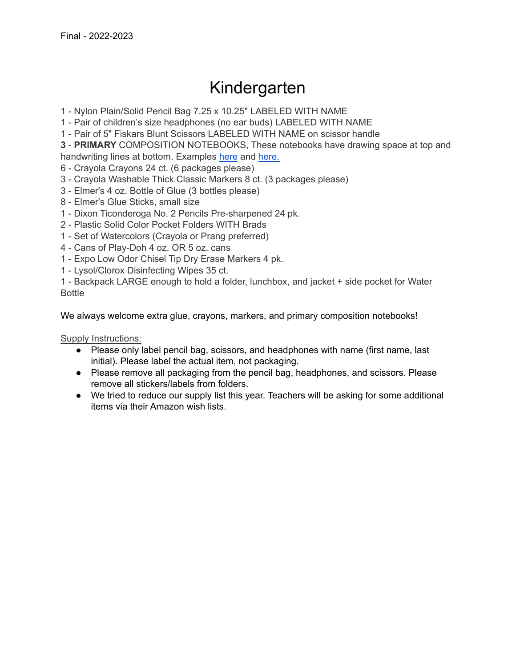### Kindergarten

1 - Nylon Plain/Solid Pencil Bag 7.25 x 10.25" LABELED WITH NAME

1 - Pair of children's size headphones (no ear buds) LABELED WITH NAME

1 - Pair of 5" Fiskars Blunt Scissors LABELED WITH NAME on scissor handle

**3** - **PRIMARY** COMPOSITION NOTEBOOKS, These notebooks have drawing space at top and handwriting lines at bottom. Examples [here](https://amzn.to/3uwTljO) and [here.](https://www.amazon.com/Primary-Journal-Hardcover-Composition-Notebook/dp/B07F264HX8/ref=pd_lpo_2?pd_rd_i=B07F264HX8&psc=1)

- 6 Crayola Crayons 24 ct. (6 packages please)
- 3 Crayola Washable Thick Classic Markers 8 ct. (3 packages please)
- 3 Elmer's 4 oz. Bottle of Glue (3 bottles please)
- 8 Elmer's Glue Sticks, small size
- 1 Dixon Ticonderoga No. 2 Pencils Pre-sharpened 24 pk.
- 2 Plastic Solid Color Pocket Folders WITH Brads
- 1 Set of Watercolors (Crayola or Prang preferred)
- 4 Cans of Play-Doh 4 oz. OR 5 oz. cans
- 1 Expo Low Odor Chisel Tip Dry Erase Markers 4 pk.
- 1 Lysol/Clorox Disinfecting Wipes 35 ct.

1 - Backpack LARGE enough to hold a folder, lunchbox, and jacket + side pocket for Water Bottle

We always welcome extra glue, crayons, markers, and primary composition notebooks!

Supply Instructions:

- Please only label pencil bag, scissors, and headphones with name (first name, last initial). Please label the actual item, not packaging.
- Please remove all packaging from the pencil bag, headphones, and scissors. Please remove all stickers/labels from folders.
- We tried to reduce our supply list this year. Teachers will be asking for some additional items via their Amazon wish lists.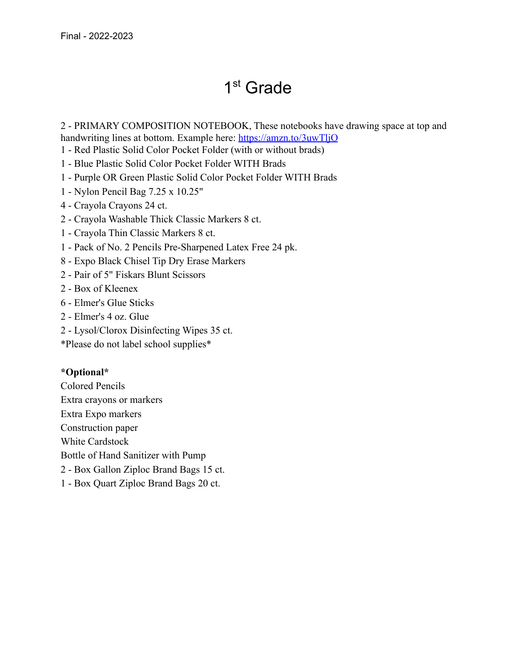# 1 st Grade

2 - PRIMARY COMPOSITION NOTEBOOK, These notebooks have drawing space at top and handwriting lines at bottom. Example here: <https://amzn.to/3uwTljO>

- 1 Red Plastic Solid Color Pocket Folder (with or without brads)
- 1 Blue Plastic Solid Color Pocket Folder WITH Brads
- 1 Purple OR Green Plastic Solid Color Pocket Folder WITH Brads
- 1 Nylon Pencil Bag 7.25 x 10.25"
- 4 Crayola Crayons 24 ct.
- 2 Crayola Washable Thick Classic Markers 8 ct.
- 1 Crayola Thin Classic Markers 8 ct.
- 1 Pack of No. 2 Pencils Pre-Sharpened Latex Free 24 pk.
- 8 Expo Black Chisel Tip Dry Erase Markers
- 2 Pair of 5" Fiskars Blunt Scissors
- 2 Box of Kleenex
- 6 Elmer's Glue Sticks
- 2 Elmer's 4 oz. Glue
- 2 Lysol/Clorox Disinfecting Wipes 35 ct.
- \*Please do not label school supplies\*

#### **\*Optional\***

- Colored Pencils Extra crayons or markers Extra Expo markers Construction paper White Cardstock Bottle of Hand Sanitizer with Pump 2 - Box Gallon Ziploc Brand Bags 15 ct.
- 1 Box Quart Ziploc Brand Bags 20 ct.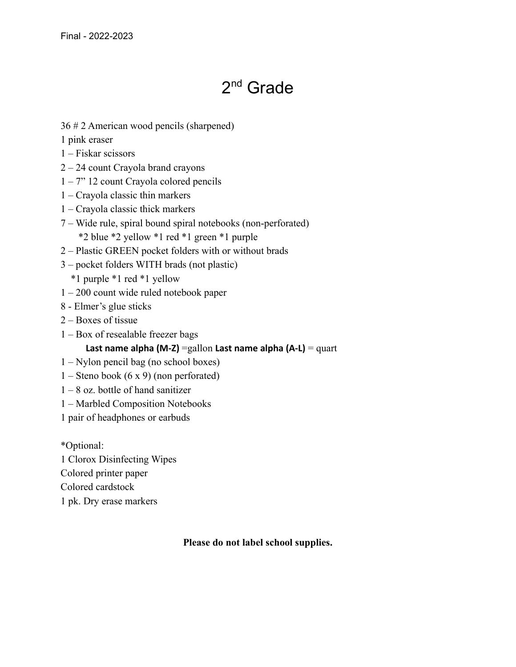# 2<sup>nd</sup> Grade

36 # 2 American wood pencils (sharpened)

1 pink eraser

- 1 Fiskar scissors
- 2 24 count Crayola brand crayons
- 1 7" 12 count Crayola colored pencils
- 1 Crayola classic thin markers
- 1 Crayola classic thick markers
- 7 Wide rule, spiral bound spiral notebooks (non-perforated) \*2 blue \*2 yellow \*1 red \*1 green \*1 purple
- 2 Plastic GREEN pocket folders with or without brads
- 3 pocket folders WITH brads (not plastic)

\*1 purple \*1 red \*1 yellow

- 1 200 count wide ruled notebook paper
- 8 Elmer's glue sticks
- 2 Boxes of tissue
- 1 Box of resealable freezer bags

#### **Last name alpha (M-Z)** =gallon **Last name alpha (A-L)** = quart

- 1 Nylon pencil bag (no school boxes)
- $1 -$ Steno book  $(6 \times 9)$  (non perforated)
- $1 8$  oz. bottle of hand sanitizer
- 1 Marbled Composition Notebooks
- 1 pair of headphones or earbuds

\*Optional: 1 Clorox Disinfecting Wipes Colored printer paper Colored cardstock 1 pk. Dry erase markers

#### **Please do not label school supplies.**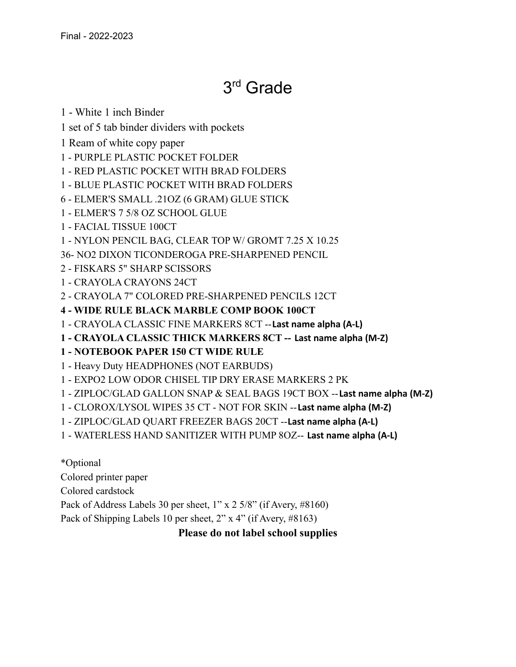## 3 rd Grade

1 - White 1 inch Binder

1 set of 5 tab binder dividers with pockets

1 Ream of white copy paper

1 - PURPLE PLASTIC POCKET FOLDER

1 - RED PLASTIC POCKET WITH BRAD FOLDERS

1 - BLUE PLASTIC POCKET WITH BRAD FOLDERS

6 - ELMER'S SMALL .21OZ (6 GRAM) GLUE STICK

1 - ELMER'S 7 5/8 OZ SCHOOL GLUE

1 - FACIAL TISSUE 100CT

1 - NYLON PENCIL BAG, CLEAR TOP W/ GROMT 7.25 X 10.25

36- NO2 DIXON TICONDEROGA PRE-SHARPENED PENCIL

2 - FISKARS 5" SHARP SCISSORS

1 - CRAYOLA CRAYONS 24CT

2 - CRAYOLA 7" COLORED PRE-SHARPENED PENCILS 12CT

**4 - WIDE RULE BLACK MARBLE COMP BOOK 100CT**

1 - CRAYOLA CLASSIC FINE MARKERS 8CT --**Last name alpha (A-L)**

**1 - CRAYOLA CLASSIC THICK MARKERS 8CT -- Last name alpha (M-Z)**

**1 - NOTEBOOK PAPER 150 CT WIDE RULE**

1 - Heavy Duty HEADPHONES (NOT EARBUDS)

1 - EXPO2 LOW ODOR CHISEL TIP DRY ERASE MARKERS 2 PK

1 - ZIPLOC/GLAD GALLON SNAP & SEAL BAGS 19CT BOX --**Last name alpha (M-Z)**

1 - CLOROX/LYSOL WIPES 35 CT - NOT FOR SKIN --**Last name alpha (M-Z)**

1 - ZIPLOC/GLAD QUART FREEZER BAGS 20CT --**Last name alpha (A-L)**

1 - WATERLESS HAND SANITIZER WITH PUMP 8OZ-- **Last name alpha (A-L)**

\*Optional Colored printer paper Colored cardstock Pack of Address Labels 30 per sheet, 1" x 2 5/8" (if Avery, #8160) Pack of Shipping Labels 10 per sheet, 2" x 4" (if Avery, #8163)

### **Please do not label school supplies**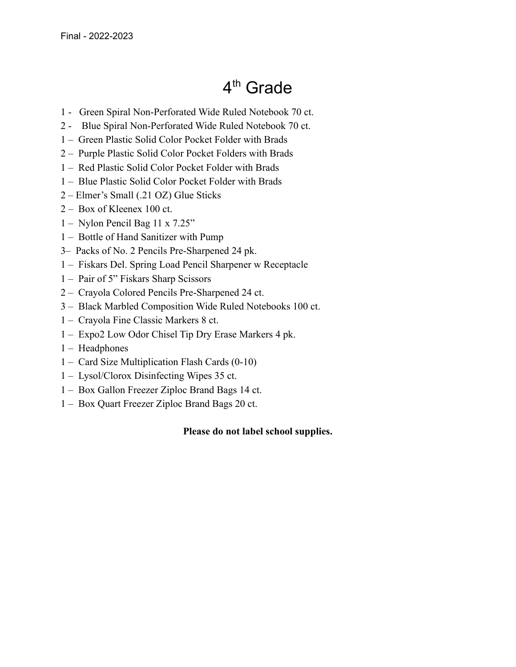# 4<sup>th</sup> Grade

- 1 Green Spiral Non-Perforated Wide Ruled Notebook 70 ct.
- 2 Blue Spiral Non-Perforated Wide Ruled Notebook 70 ct.
- 1 Green Plastic Solid Color Pocket Folder with Brads
- 2 Purple Plastic Solid Color Pocket Folders with Brads
- 1 Red Plastic Solid Color Pocket Folder with Brads
- 1 Blue Plastic Solid Color Pocket Folder with Brads
- 2 Elmer's Small (.21 OZ) Glue Sticks
- 2 Box of Kleenex 100 ct.
- 1 Nylon Pencil Bag 11 x 7.25"
- 1 Bottle of Hand Sanitizer with Pump
- 3– Packs of No. 2 Pencils Pre-Sharpened 24 pk.
- 1 Fiskars Del. Spring Load Pencil Sharpener w Receptacle
- 1 Pair of 5" Fiskars Sharp Scissors
- 2 Crayola Colored Pencils Pre-Sharpened 24 ct.
- 3 Black Marbled Composition Wide Ruled Notebooks 100 ct.
- 1 Crayola Fine Classic Markers 8 ct.
- 1 Expo2 Low Odor Chisel Tip Dry Erase Markers 4 pk.
- 1 Headphones
- 1 Card Size Multiplication Flash Cards (0-10)
- 1 Lysol/Clorox Disinfecting Wipes 35 ct.
- 1 Box Gallon Freezer Ziploc Brand Bags 14 ct.
- 1 Box Quart Freezer Ziploc Brand Bags 20 ct.

#### **Please do not label school supplies.**